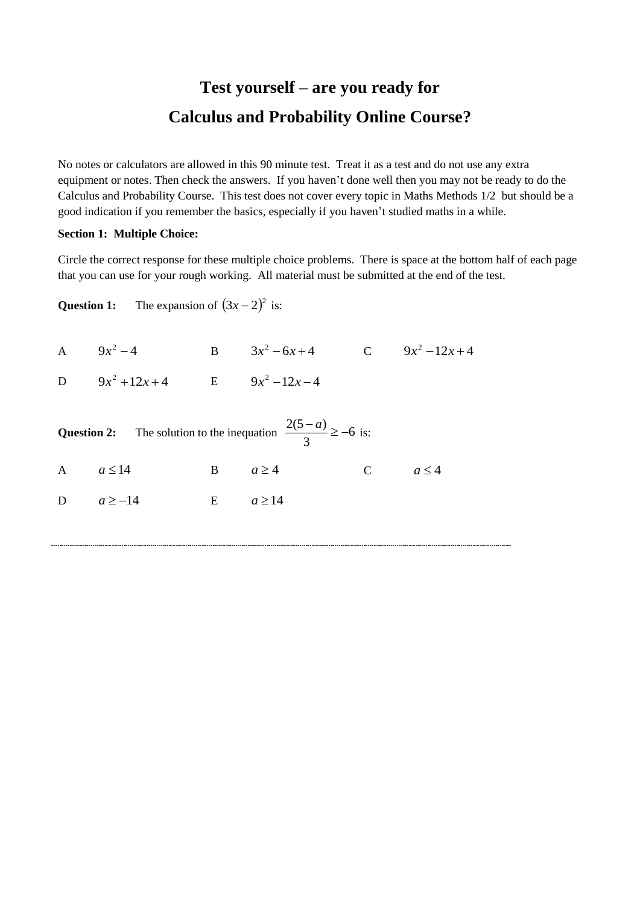## **Test yourself – are you ready for Calculus and Probability Online Course?**

No notes or calculators are allowed in this 90 minute test. Treat it as a test and do not use any extra equipment or notes. Then check the answers. If you haven't done well then you may not be ready to do the Calculus and Probability Course. This test does not cover every topic in Maths Methods 1/2 but should be a good indication if you remember the basics, especially if you haven't studied maths in a while.

## **Section 1: Multiple Choice:**

Circle the correct response for these multiple choice problems. There is space at the bottom half of each page that you can use for your rough working. All material must be submitted at the end of the test.

**Question 1:** The expansion of  $(3x-2)^2$  is:

A  $9x^2-4$  **B**  $3x^2-6x+4$  **C**  $9x^2-12x+4$ 

**D**  $9x^2 + 12x + 4$  **E**  $9x^2 - 12x - 4$ 

|               | <b>Question 2:</b> The solution to the inequation $\frac{2(5-a)}{3} \ge -6$ is: |                  |        |             |            |
|---------------|---------------------------------------------------------------------------------|------------------|--------|-------------|------------|
| A $a \le 14$  |                                                                                 | $B \qquad a > 4$ |        | $\mathbf C$ | $a \leq 4$ |
| D $a \ge -14$ | $\mathbf{E}$                                                                    |                  | a > 14 |             |            |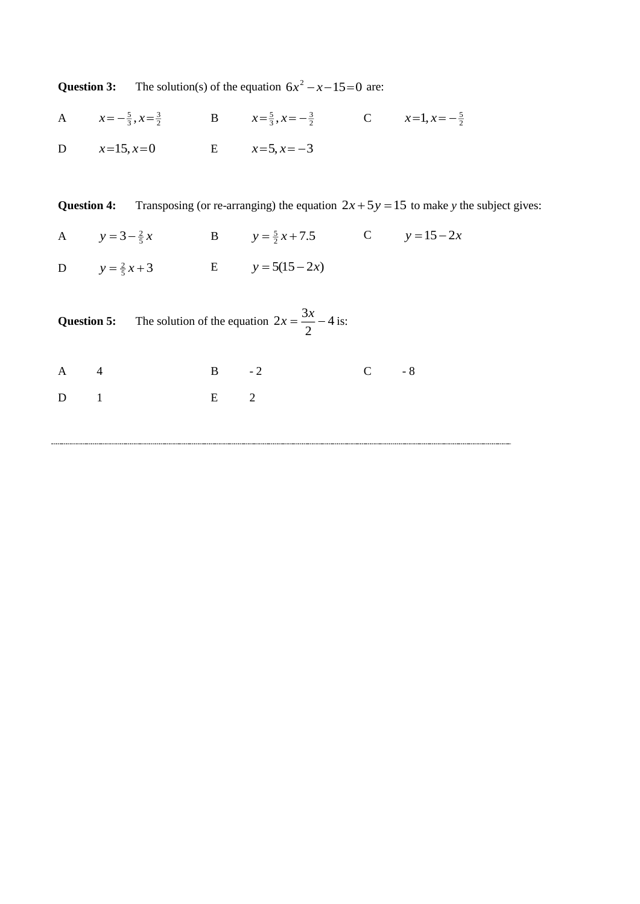| Question 3: | The solution(s) of the equation $6x^2 - x - 15 = 0$ are: |  |
|-------------|----------------------------------------------------------|--|
|             |                                                          |  |

A  $x = -\frac{5}{3}, x = \frac{3}{2}$  B  $x = \frac{5}{3}, x = -\frac{3}{2}$  C  $x = 1, x = -\frac{5}{2}$ D  $x=15$ ,  $x=0$  E  $x=5$ ,  $x=-3$ 

**Question 4:** Transposing (or re-arranging) the equation  $2x + 5y = 15$  to make *y* the subject gives:

|                          | A $y=3-\frac{2}{5}x$ B $y=\frac{5}{2}x+7.5$ C $y=15-2x$ |  |
|--------------------------|---------------------------------------------------------|--|
| D $y = \frac{2}{5}x + 3$ | E $y = 5(15-2x)$                                        |  |

|              |  |   | <b>Question 5:</b> The solution of the equation $2x = \frac{3x}{2} - 4$ is: |           |  |
|--------------|--|---|-----------------------------------------------------------------------------|-----------|--|
| $A \qquad 4$ |  | B | $-2$                                                                        | $C \t -8$ |  |
| $D \t1$      |  | E |                                                                             |           |  |
|              |  |   |                                                                             |           |  |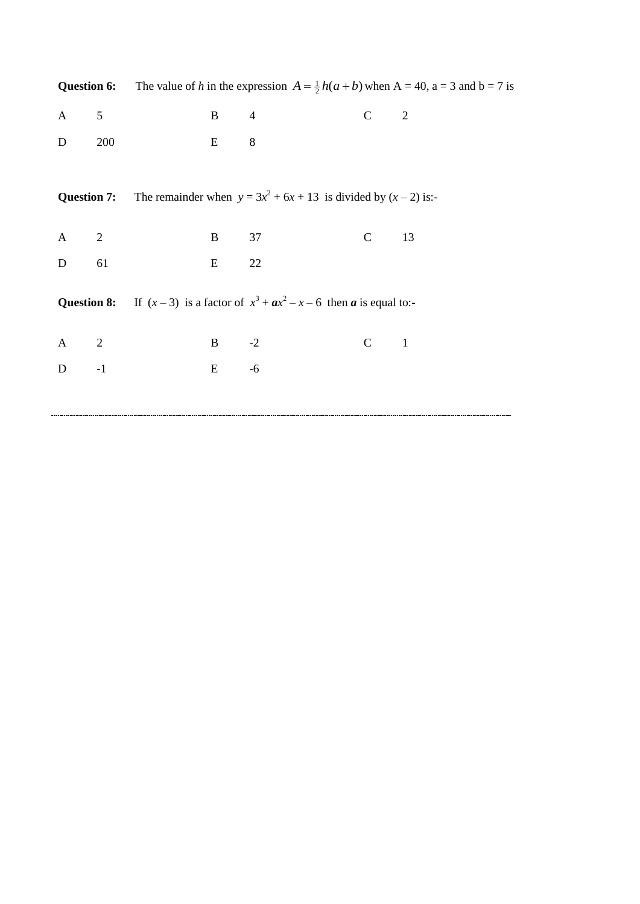|                    |            |              |                                                                                               |                                 | <b>Question 6:</b> The value of h in the expression $A = \frac{1}{2}h(a+b)$ when $A = 40$ , $a = 3$ and $b = 7$ is |
|--------------------|------------|--------------|-----------------------------------------------------------------------------------------------|---------------------------------|--------------------------------------------------------------------------------------------------------------------|
| $\mathbf{A}$       | $\sqrt{5}$ | $\mathbf{B}$ | $\overline{4}$                                                                                | $\mathbf{C}$                    | $\overline{2}$                                                                                                     |
| ${\bf D}$          | 200        | E            | 8                                                                                             |                                 |                                                                                                                    |
| <b>Question 7:</b> |            |              | The remainder when $y = 3x^2 + 6x + 13$ is divided by $(x - 2)$ is:-                          |                                 |                                                                                                                    |
| $\bf{A}$           | 2          | B            | 37                                                                                            | $\mathbf C$                     | 13                                                                                                                 |
| $\mathbf D$        | 61         | $E_{\rm}$    | $22\,$                                                                                        |                                 |                                                                                                                    |
|                    |            |              | <b>Question 8:</b> If $(x-3)$ is a factor of $x^3 + ax^2 - x - 6$ then <b>a</b> is equal to:- |                                 |                                                                                                                    |
| $\mathbf{A}$       | 2          | $B \t -2$    |                                                                                               | $\mathcal{C}$<br>$\overline{1}$ |                                                                                                                    |
| $D \t -1$          |            | E            | $-6$                                                                                          |                                 |                                                                                                                    |
|                    |            |              |                                                                                               |                                 |                                                                                                                    |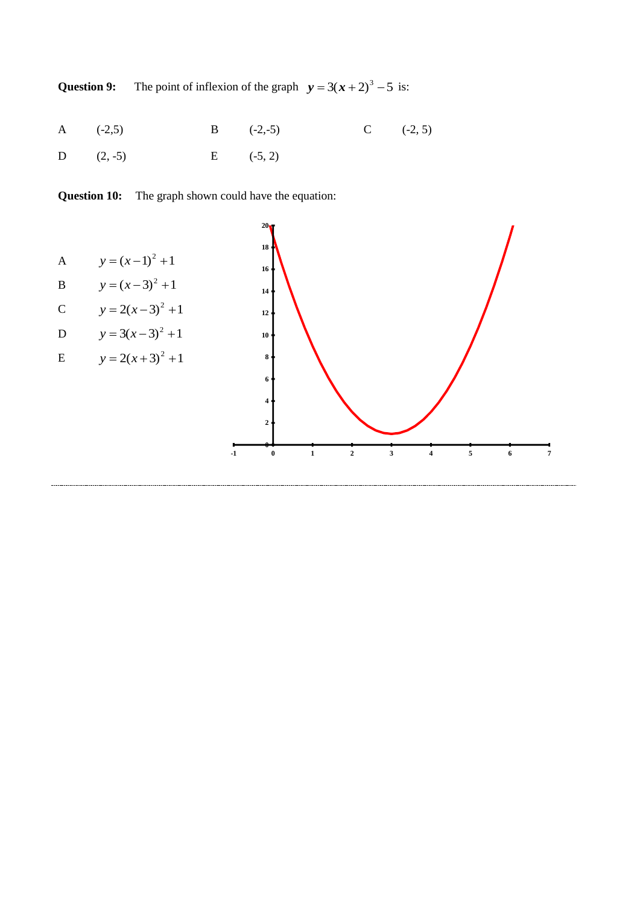**Question 9:** The point of inflexion of the graph  $y = 3(x + 2)^3 - 5$  is:

| A $(-2,5)$                   | $C = (-2, 5)$<br>B $(-2,-5)$ |  |
|------------------------------|------------------------------|--|
| D $(2, -5)$<br>$E = (-5, 2)$ |                              |  |

**Question 10:** The graph shown could have the equation:

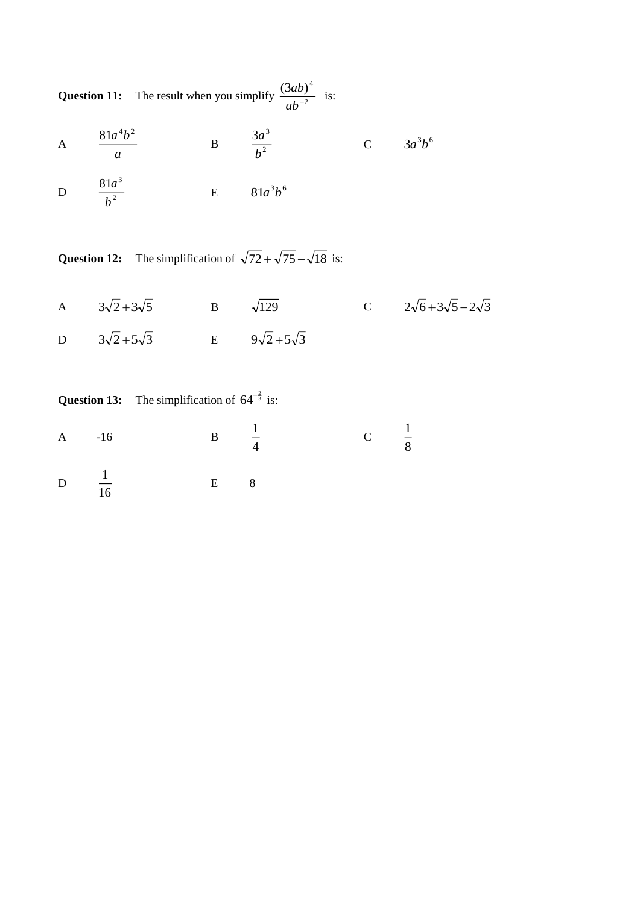**Question 11:** The result when you simplify  $\frac{(948)}{12}$  $(3ab)^4$  *ab*  $\frac{ab)^4}{a^2}$  is:

A 
$$
\frac{81a^4b^2}{a}
$$
 B  $\frac{3a^3}{b^2}$  C  $3a^3b^6$ 

D 2  $81a^3$ *b a* E  $81a^3b^6$ 

**Question 12:** The simplification of  $\sqrt{72} + \sqrt{75} - \sqrt{18}$  is:

A  $3\sqrt{2} + 3\sqrt{5}$  B  $\sqrt{129}$  C  $2\sqrt{6} + 3\sqrt{5} - 2\sqrt{3}$ D  $3\sqrt{2}+5\sqrt{3}$  E  $9\sqrt{2}+5\sqrt{3}$ 

|                  |       | <b>Question 13:</b> The simplification of $64^{-\frac{2}{3}}$ is: |                                 |               |   |  |
|------------------|-------|-------------------------------------------------------------------|---------------------------------|---------------|---|--|
| $\mathsf{A}$     | $-16$ |                                                                   | $\mathbf{B} \quad \frac{\ }{4}$ | $\mathcal{C}$ | 8 |  |
| D $\frac{1}{16}$ |       | E                                                                 | 8                               |               |   |  |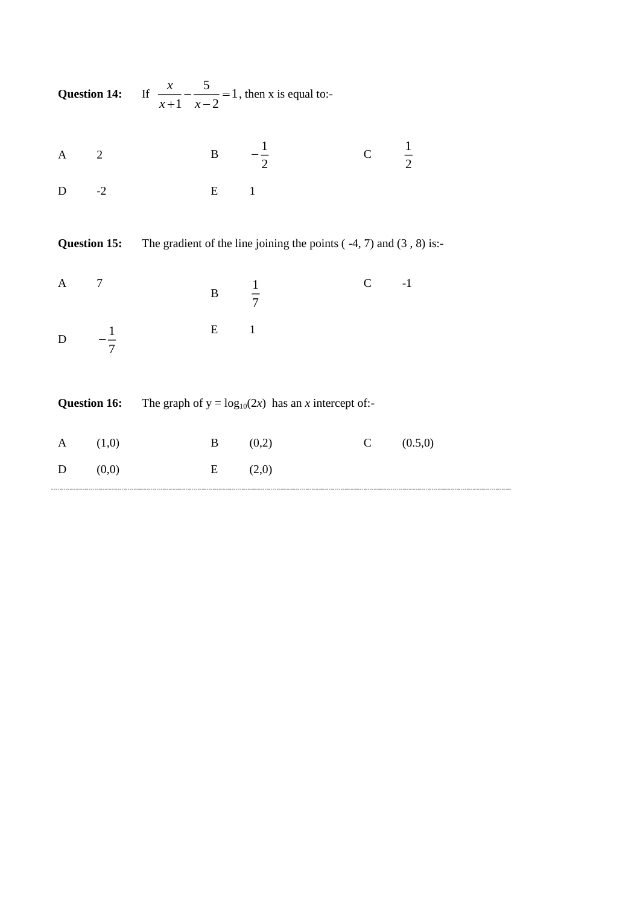|              |                          | <b>Question 14:</b> If $\frac{x}{x+1} - \frac{5}{x-2} = 1$ , then x is equal to:- |                  |                 |                |
|--------------|--------------------------|-----------------------------------------------------------------------------------|------------------|-----------------|----------------|
| $\mathbf{A}$ | $\overline{\phantom{a}}$ |                                                                                   | B $-\frac{1}{2}$ | C $\frac{1}{2}$ |                |
| $\mathbf D$  | $-2$                     | $E$ 1                                                                             |                  |                 |                |
|              | <b>Question 15:</b>      | The gradient of the line joining the points $(-4, 7)$ and $(3, 8)$ is:-           |                  |                 |                |
| $\mathbf{A}$ | $\overline{7}$           | B $\frac{1}{7}$                                                                   |                  | $C \t -1$       |                |
|              | D $-\frac{1}{7}$         | $E$ 1                                                                             |                  |                 |                |
|              | <b>Question 16:</b>      | The graph of $y = log_{10}(2x)$ has an x intercept of:-                           |                  |                 |                |
| $\mathbf{A}$ | (1,0)                    |                                                                                   | $B \t (0,2)$     |                 | $C = (0.5, 0)$ |
| $\mathbf D$  | (0,0)                    | E                                                                                 | (2,0)            |                 |                |
|              |                          |                                                                                   |                  |                 |                |

-----------------------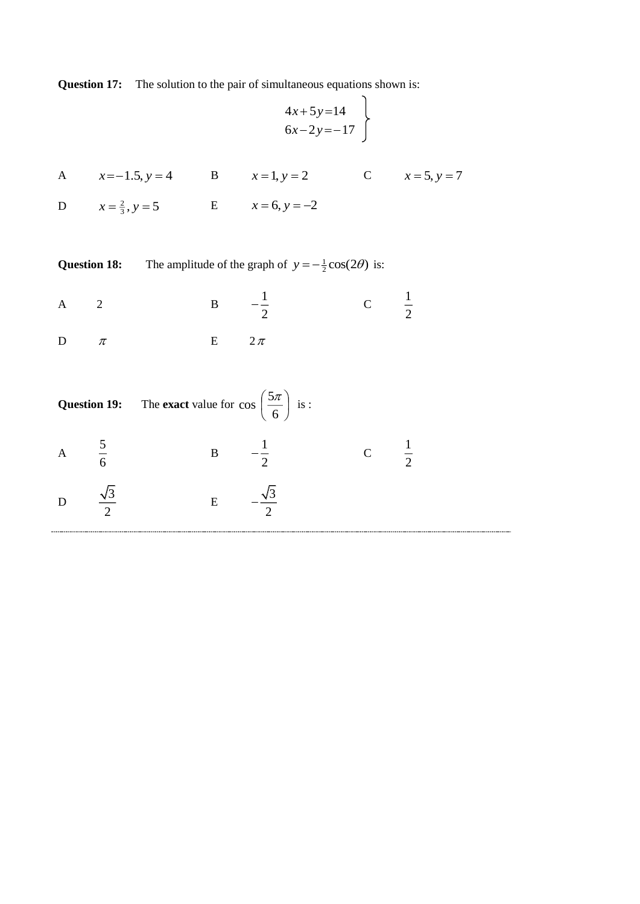**Question 17:** The solution to the pair of simultaneous equations shown is:

$$
4x+5y=14
$$
  
6x-2y=-17

| A $x=-1.5, y=4$ B $x=1, y=2$ C $x=5, y=7$          |  |  |
|----------------------------------------------------|--|--|
| D $x = \frac{2}{3}$ , $y = 5$ E $x = 6$ , $y = -2$ |  |  |

**Question 18:** The amplitude of the graph of  $y = -\frac{1}{2}\cos(2\theta)$  is:

| А |  | <u>т.</u> |
|---|--|-----------|
|   |  |           |

 $\mathbf D$  $\pi$  $\mathbf E$  $2\,\pi$ 

|           | <b>Question 19:</b> The <b>exact</b> value for $\cos\left(\frac{5\pi}{6}\right)$ is : |           |               |                |
|-----------|---------------------------------------------------------------------------------------|-----------|---------------|----------------|
|           | $\mathbf{B}$                                                                          |           | $\mathcal{C}$ | $\overline{2}$ |
| $\bigcap$ | E                                                                                     | $\bigcap$ |               |                |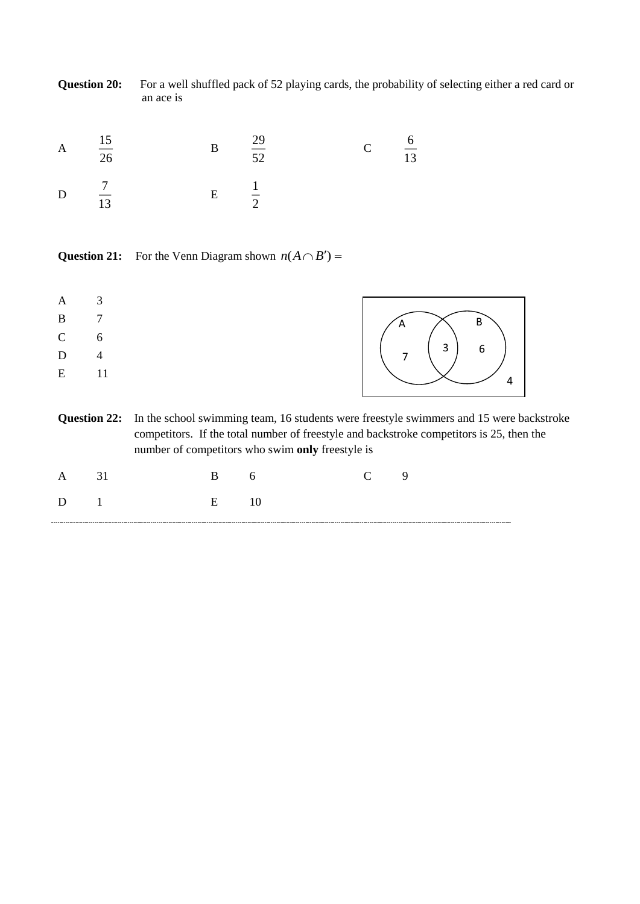|   | <b>Question 20:</b> | an ace is |           |          |             | For a well shuffled pack of 52 playing cards, the probability of selecting either a red card or |  |
|---|---------------------|-----------|-----------|----------|-------------|-------------------------------------------------------------------------------------------------|--|
| A | 15<br>26            |           | $\bf{B}$  | 29<br>52 | $\mathbf C$ | 13                                                                                              |  |
| D | 13                  |           | ${\bf E}$ | $\gamma$ |             |                                                                                                 |  |

**Question 21:** For the Venn Diagram shown  $n(A \cap B') =$ 

| A            |                           |                                       |
|--------------|---------------------------|---------------------------------------|
| B            | $\overline{7}$            | A —                                   |
| $\mathbf{C}$ |                           | $\begin{pmatrix} 3 & 6 \end{pmatrix}$ |
| D            | $\boldsymbol{\varLambda}$ | $7\overline{ }$                       |
| E            | - 11                      |                                       |

**Question 22:** In the school swimming team, 16 students were freestyle swimmers and 15 were backstroke competitors. If the total number of freestyle and backstroke competitors is 25, then the number of competitors who swim **only** freestyle is

| $\Delta$            | $\sim$ 31 | $\mathbf{B}$ 6 |    | $C \qquad 9$ |  |
|---------------------|-----------|----------------|----|--------------|--|
| $\sim$ 1.<br>$\Box$ |           | $E = 1$        | 10 |              |  |
|                     |           |                |    |              |  |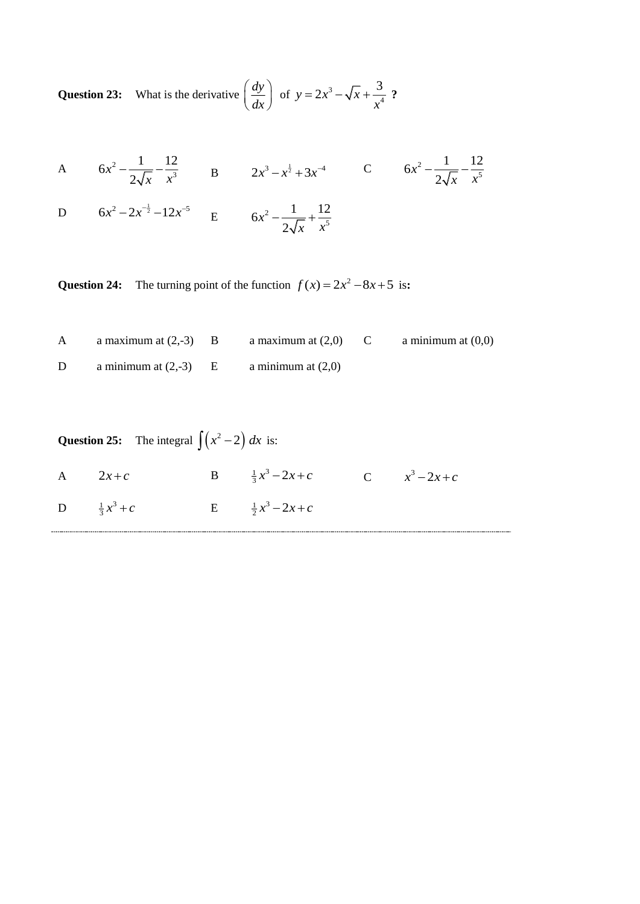**Question 23:** What is the derivative  $\int \frac{dy}{dx}$  $\left(\frac{dy}{dx}\right)$ of  $y = 2x^3$ 4  $y = 2x^3 - \sqrt{x} + \frac{3}{x^2}$  $=2x^3-\sqrt{x}+\frac{3}{4}$  ?

A 
$$
6x^2 - \frac{1}{2\sqrt{x}} - \frac{12}{x^3}
$$
 B  $2x^3 - x^{\frac{1}{2}} + 3x^{-4}$  C  $6x^2 - \frac{1}{2\sqrt{x}} - \frac{12}{x^5}$ 

D 
$$
6x^2 - 2x^{-\frac{1}{2}} - 12x^{-5}
$$
 E  $6x^2 - \frac{1}{2\sqrt{x}} + \frac{12}{x^5}$ 

**Question 24:** The turning point of the function  $f(x) = 2x^2 - 8x + 5$  is:

| a maximum at $(2,-3)$ B | a maximum at $(2,0)$ | a minimum at $(0,0)$ |
|-------------------------|----------------------|----------------------|
| a minimum at $(2,-3)$   | a minimum at $(2,0)$ |                      |

| <b>Question 25:</b> The integral $\int (x^2 - 2) dx$ is: |                        |  |                                              |  |  |  |  |
|----------------------------------------------------------|------------------------|--|----------------------------------------------|--|--|--|--|
|                                                          | A $2x+c$               |  | B $\frac{1}{3}x^3 - 2x + c$ C $x^3 - 2x + c$ |  |  |  |  |
|                                                          | D $\frac{1}{3}x^3 + c$ |  | E $\frac{1}{2}x^3 - 2x + c$                  |  |  |  |  |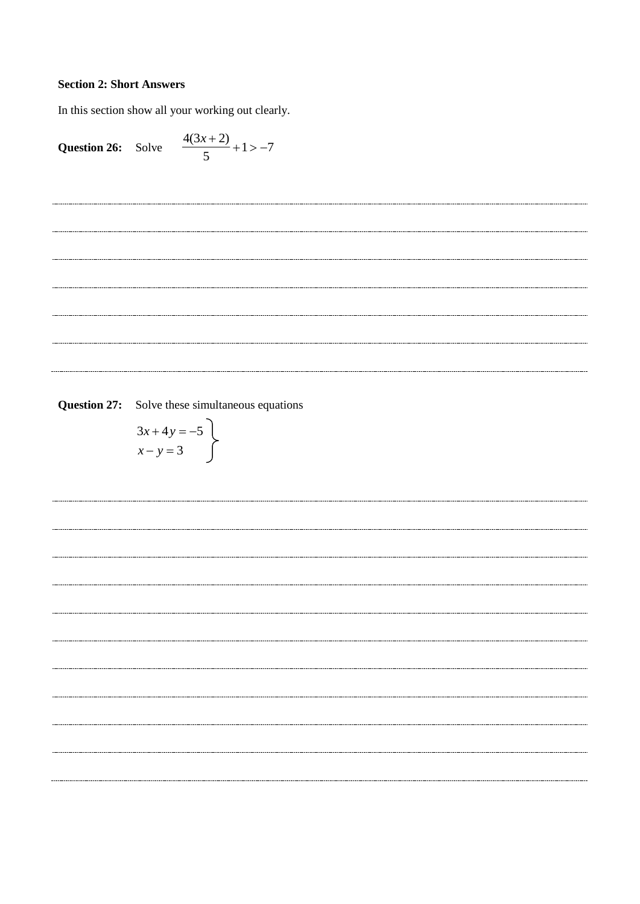## **Section 2: Short Answers**

In this section show all your working out clearly.

Question 26: Solve 
$$
\frac{4(3x+2)}{5} + 1 > -7
$$

-----------------------------

----------------------------

**Question 27:** Solve these simultaneous equations

$$
3x + 4y = -5
$$
\n
$$
x - y = 3
$$